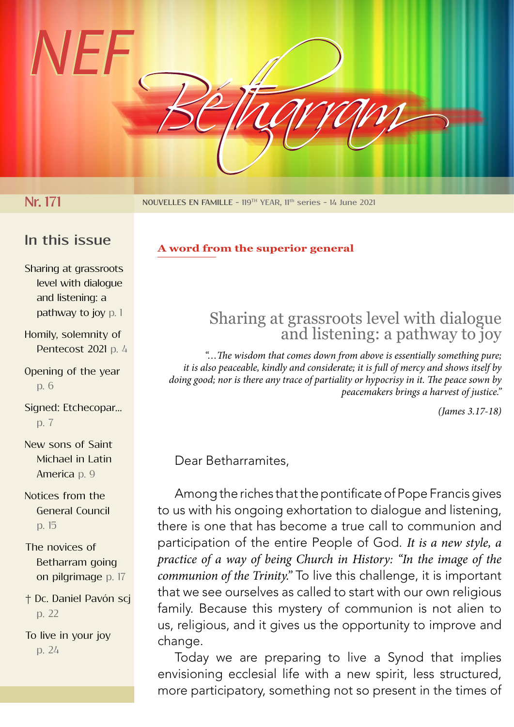

**Nr. 171 NOUVELLES EN FAMILLE - 119<sup>TH</sup> YEAR, 11<sup>th</sup> series - 14 June 2021** 

## **In this issue**

**A word from the superior general**

Sharing at grassroots level with dialogue and listening: a pathway to joy p. 1

Homily, solemnity of Pentecost 2021 p. 4

Opening of the year p. 6

Signed: Etchecopar... p. 7

New sons of Saint Michael in Latin America p. 9

Notices from the General Council p. 15

The novices of Betharram going on pilgrimage p. 17

† Dc. Daniel Pavón scj p. 22

To live in your joy p. 24

# Sharing at grassroots level with dialogue and listening: a pathway to joy

*"…The wisdom that comes down from above is essentially something pure; it is also peaceable, kindly and considerate; it is full of mercy and shows itself by doing good; nor is there any trace of partiality or hypocrisy in it. The peace sown by peacemakers brings a harvest of justice."*

*(James 3.17-18)*

Dear Betharramites,

Among the riches that the pontificate of Pope Francis gives to us with his ongoing exhortation to dialogue and listening, there is one that has become a true call to communion and participation of the entire People of God. *It is a new style, a practice of a way of being Church in History: "In the image of the communion of the Trinity."* To live this challenge, it is important that we see ourselves as called to start with our own religious family. Because this mystery of communion is not alien to us, religious, and it gives us the opportunity to improve and change.

Today we are preparing to live a Synod that implies envisioning ecclesial life with a new spirit, less structured, more participatory, something not so present in the times of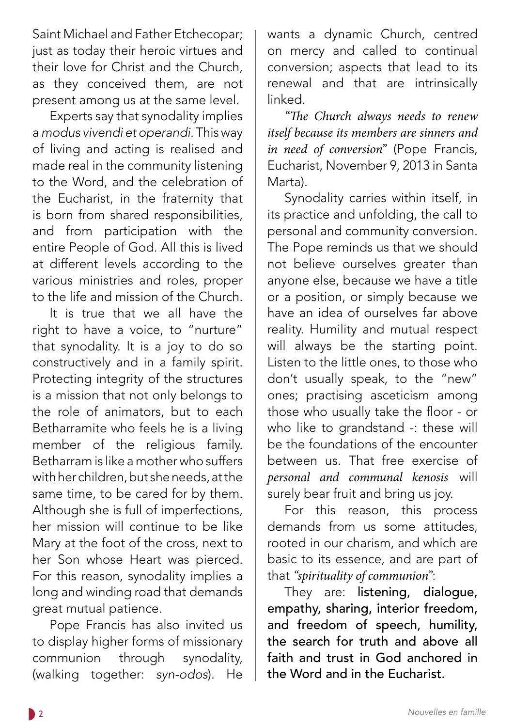Saint Michael and Father Etchecopar; just as today their heroic virtues and their love for Christ and the Church, as they conceived them, are not present among us at the same level.

Experts say that synodality implies a *modus vivendi et operandi*. This way of living and acting is realised and made real in the community listening to the Word, and the celebration of the Eucharist, in the fraternity that is born from shared responsibilities, and from participation with the entire People of God. All this is lived at different levels according to the various ministries and roles, proper to the life and mission of the Church.

It is true that we all have the right to have a voice, to "nurture" that synodality. It is a joy to do so constructively and in a family spirit. Protecting integrity of the structures is a mission that not only belongs to the role of animators, but to each Betharramite who feels he is a living member of the religious family. Betharram is like a mother who suffers with her children, but she needs, at the same time, to be cared for by them. Although she is full of imperfections, her mission will continue to be like Mary at the foot of the cross, next to her Son whose Heart was pierced. For this reason, synodality implies a long and winding road that demands great mutual patience.

Pope Francis has also invited us to display higher forms of missionary communion through synodality, (walking together: *syn-odos*). He wants a dynamic Church, centred on mercy and called to continual conversion; aspects that lead to its renewal and that are intrinsically linked.

*"The Church always needs to renew itself because its members are sinners and in need of conversion"* (Pope Francis, Eucharist, November 9, 2013 in Santa Marta).

Synodality carries within itself, in its practice and unfolding, the call to personal and community conversion. The Pope reminds us that we should not believe ourselves greater than anyone else, because we have a title or a position, or simply because we have an idea of ourselves far above reality. Humility and mutual respect will always be the starting point. Listen to the little ones, to those who don't usually speak, to the "new" ones; practising asceticism among those who usually take the floor - or who like to grandstand -: these will be the foundations of the encounter between us. That free exercise of *personal and communal kenosis* will surely bear fruit and bring us joy.

For this reason, this process demands from us some attitudes, rooted in our charism, and which are basic to its essence, and are part of that *"spirituality of communion"*:

They are: listening, dialogue, empathy, sharing, interior freedom, and freedom of speech, humility, the search for truth and above all faith and trust in God anchored in the Word and in the Eucharist.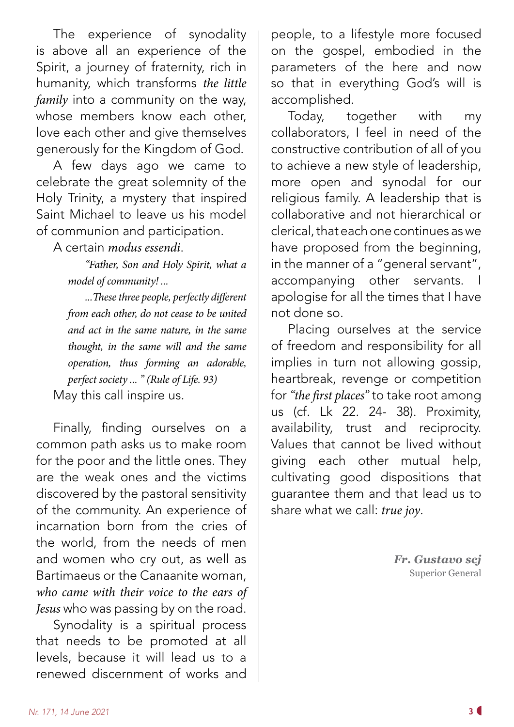The experience of synodality is above all an experience of the Spirit, a journey of fraternity, rich in humanity, which transforms *the little family* into a community on the way, whose members know each other, love each other and give themselves generously for the Kingdom of God.

A few days ago we came to celebrate the great solemnity of the Holy Trinity, a mystery that inspired Saint Michael to leave us his model of communion and participation.

A certain *modus essendi*.

*"Father, Son and Holy Spirit, what a model of community! ...*

*...These three people, perfectly different from each other, do not cease to be united and act in the same nature, in the same thought, in the same will and the same operation, thus forming an adorable, perfect society ... " (Rule of Life. 93)* May this call inspire us.

Finally, finding ourselves on a common path asks us to make room for the poor and the little ones. They are the weak ones and the victims discovered by the pastoral sensitivity of the community. An experience of incarnation born from the cries of the world, from the needs of men and women who cry out, as well as Bartimaeus or the Canaanite woman, *who came with their voice to the ears of Jesus* who was passing by on the road.

Synodality is a spiritual process that needs to be promoted at all levels, because it will lead us to a renewed discernment of works and

people, to a lifestyle more focused on the gospel, embodied in the parameters of the here and now so that in everything God's will is accomplished.

Today, together with my collaborators, I feel in need of the constructive contribution of all of you to achieve a new style of leadership, more open and synodal for our religious family. A leadership that is collaborative and not hierarchical or clerical, that each one continues as we have proposed from the beginning, in the manner of a "general servant", accompanying other servants. I apologise for all the times that I have not done so.

Placing ourselves at the service of freedom and responsibility for all implies in turn not allowing gossip, heartbreak, revenge or competition for *"the first places"* to take root among us (cf. Lk 22. 24- 38). Proximity, availability, trust and reciprocity. Values that cannot be lived without giving each other mutual help, cultivating good dispositions that guarantee them and that lead us to share what we call: *true joy*.

> *Fr. Gustavo scj* Superior General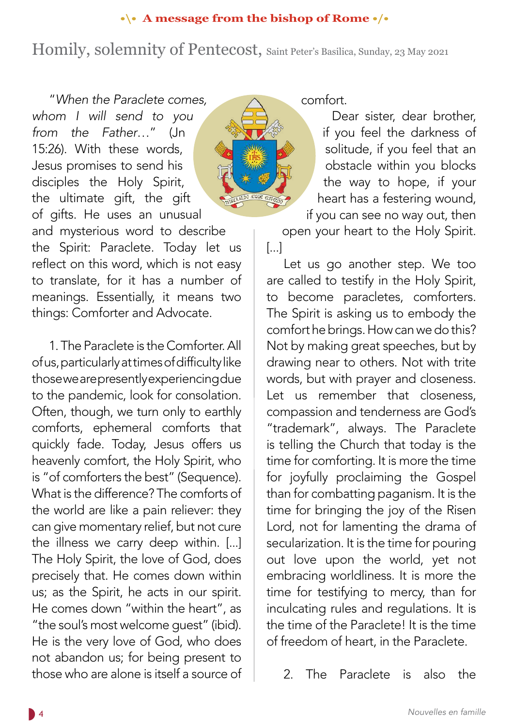#### **•\• A message from the bishop of Rome •/•**

# Homily, solemnity of Pentecost, Saint Peter's Basilica, Sunday, 23 May 2021

"*When the Paraclete comes, whom I will send to you from the Father*…" (Jn 15:26). With these words, Jesus promises to send his disciples the Holy Spirit, the ultimate gift, the gift of gifts. He uses an unusual and mysterious word to describe the Spirit: Paraclete. Today let us reflect on this word, which is not easy to translate, for it has a number of meanings. Essentially, it means two things: Comforter and Advocate.

1. The Paraclete is the Comforter. All of us, particularly at times of difficulty like those we are presently experiencing due to the pandemic, look for consolation. Often, though, we turn only to earthly comforts, ephemeral comforts that quickly fade. Today, Jesus offers us heavenly comfort, the Holy Spirit, who is "of comforters the best" (Sequence). What is the difference? The comforts of the world are like a pain reliever: they can give momentary relief, but not cure the illness we carry deep within. [...] The Holy Spirit, the love of God, does precisely that. He comes down within us; as the Spirit, he acts in our spirit. He comes down "within the heart", as "the soul's most welcome guest" (ibid). He is the very love of God, who does not abandon us; for being present to those who are alone is itself a source of comfort.

Dear sister, dear brother, if you feel the darkness of solitude, if you feel that an obstacle within you blocks the way to hope, if your heart has a festering wound, if you can see no way out, then

open your heart to the Holy Spirit. [...]

Let us go another step. We too are called to testify in the Holy Spirit, to become paracletes, comforters. The Spirit is asking us to embody the comfort he brings. How can we do this? Not by making great speeches, but by drawing near to others. Not with trite words, but with prayer and closeness. Let us remember that closeness, compassion and tenderness are God's "trademark", always. The Paraclete is telling the Church that today is the time for comforting. It is more the time for joyfully proclaiming the Gospel than for combatting paganism. It is the time for bringing the joy of the Risen Lord, not for lamenting the drama of secularization. It is the time for pouring out love upon the world, yet not embracing worldliness. It is more the time for testifying to mercy, than for inculcating rules and regulations. It is the time of the Paraclete! It is the time of freedom of heart, in the Paraclete.

2. The Paraclete is also the

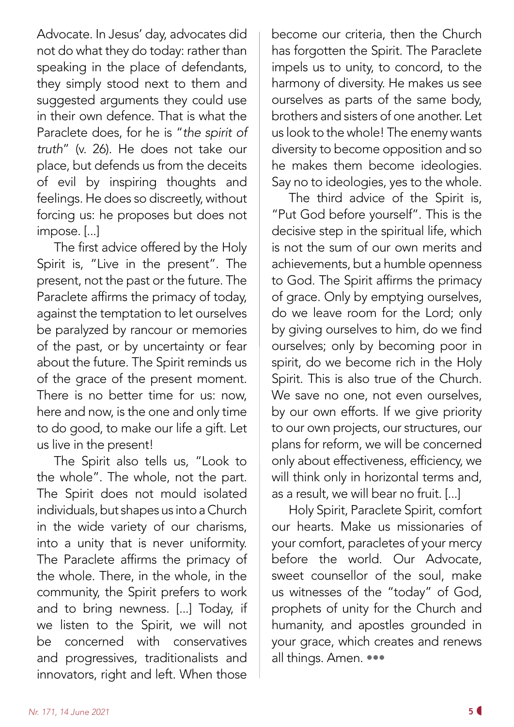Advocate. In Jesus' day, advocates did not do what they do today: rather than speaking in the place of defendants, they simply stood next to them and suggested arguments they could use in their own defence. That is what the Paraclete does, for he is "*the spirit of truth*" (v. 26). He does not take our place, but defends us from the deceits of evil by inspiring thoughts and feelings. He does so discreetly, without forcing us: he proposes but does not impose. [...]

The first advice offered by the Holy Spirit is, "Live in the present". The present, not the past or the future. The Paraclete affirms the primacy of today, against the temptation to let ourselves be paralyzed by rancour or memories of the past, or by uncertainty or fear about the future. The Spirit reminds us of the grace of the present moment. There is no better time for us: now, here and now, is the one and only time to do good, to make our life a gift. Let us live in the present!

The Spirit also tells us, "Look to the whole". The whole, not the part. The Spirit does not mould isolated individuals, but shapes us into a Church in the wide variety of our charisms, into a unity that is never uniformity. The Paraclete affirms the primacy of the whole. There, in the whole, in the community, the Spirit prefers to work and to bring newness. [...] Today, if we listen to the Spirit, we will not be concerned with conservatives and progressives, traditionalists and innovators, right and left. When those

become our criteria, then the Church has forgotten the Spirit. The Paraclete impels us to unity, to concord, to the harmony of diversity. He makes us see ourselves as parts of the same body, brothers and sisters of one another. Let us look to the whole! The enemy wants diversity to become opposition and so he makes them become ideologies. Say no to ideologies, yes to the whole.

The third advice of the Spirit is, "Put God before yourself". This is the decisive step in the spiritual life, which is not the sum of our own merits and achievements, but a humble openness to God. The Spirit affirms the primacy of grace. Only by emptying ourselves, do we leave room for the Lord; only by giving ourselves to him, do we find ourselves; only by becoming poor in spirit, do we become rich in the Holy Spirit. This is also true of the Church. We save no one, not even ourselves, by our own efforts. If we give priority to our own projects, our structures, our plans for reform, we will be concerned only about effectiveness, efficiency, we will think only in horizontal terms and, as a result, we will bear no fruit. [...]

Holy Spirit, Paraclete Spirit, comfort our hearts. Make us missionaries of your comfort, paracletes of your mercy before the world. Our Advocate, sweet counsellor of the soul, make us witnesses of the "today" of God, prophets of unity for the Church and humanity, and apostles grounded in your grace, which creates and renews all things. Amen. •••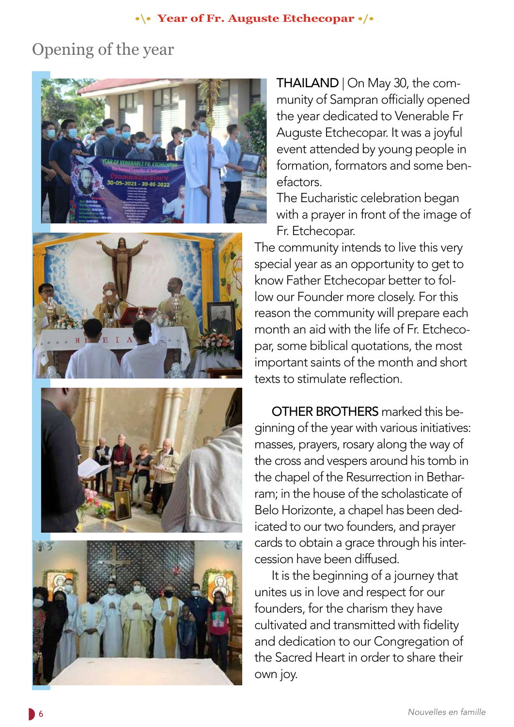#### **•\• Year of Fr. Auguste Etchecopar •/•**

# Opening of the year









THAILAND | On May 30, the community of Sampran officially opened the year dedicated to Venerable Fr Auguste Etchecopar. It was a joyful event attended by young people in formation, formators and some benefactors.

The Eucharistic celebration began with a prayer in front of the image of Fr. Etchecopar.

The community intends to live this very special year as an opportunity to get to know Father Etchecopar better to follow our Founder more closely. For this reason the community will prepare each month an aid with the life of Fr. Etchecopar, some biblical quotations, the most important saints of the month and short texts to stimulate reflection.

OTHER BROTHERS marked this beginning of the year with various initiatives: masses, prayers, rosary along the way of the cross and vespers around his tomb in the chapel of the Resurrection in Betharram; in the house of the scholasticate of Belo Horizonte, a chapel has been dedicated to our two founders, and prayer cards to obtain a grace through his intercession have been diffused.

It is the beginning of a journey that unites us in love and respect for our founders, for the charism they have cultivated and transmitted with fidelity and dedication to our Congregation of the Sacred Heart in order to share their own joy.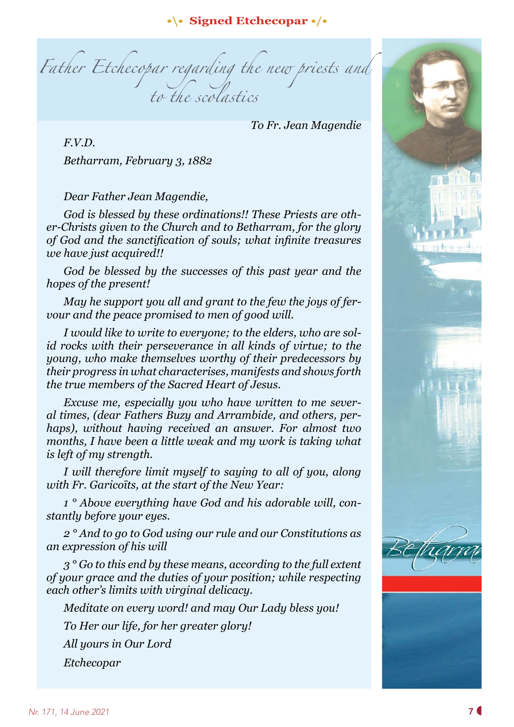#### **•\• Signed Etchecopar •/•**

*Father Etchecopar regarding the new priests and to the scolastics*

 *To Fr. Jean Magendie*

*F.V.D. Betharram, February 3, 1882*

#### *Dear Father Jean Magendie,*

*God is blessed by these ordinations!! These Priests are other-Christs given to the Church and to Betharram, for the glory of God and the sanctification of souls; what infinite treasures we have just acquired!!*

*God be blessed by the successes of this past year and the hopes of the present!*

*May he support you all and grant to the few the joys of fervour and the peace promised to men of good will.*

*I would like to write to everyone; to the elders, who are solid rocks with their perseverance in all kinds of virtue; to the young, who make themselves worthy of their predecessors by their progress in what characterises, manifests and shows forth the true members of the Sacred Heart of Jesus.*

*Excuse me, especially you who have written to me several times, (dear Fathers Buzy and Arrambide, and others, perhaps), without having received an answer. For almost two months, I have been a little weak and my work is taking what is left of my strength.*

*I* will therefore limit myself to saying to all of you, along *with Fr. Garicoïts, at the start of the New Year:*

*1 ° Above everything have God and his adorable will, constantly before your eyes.*

*2 ° And to go to God using our rule and our Constitutions as an expression of his will*

*3 ° Go to this end by these means, according to the full extent of your grace and the duties of your position; while respecting each other's limits with virginal delicacy.*

*Meditate on every word! and may Our Lady bless you!*

*To Her our life, for her greater glory!*

*All yours in Our Lord*

*Etchecopar*

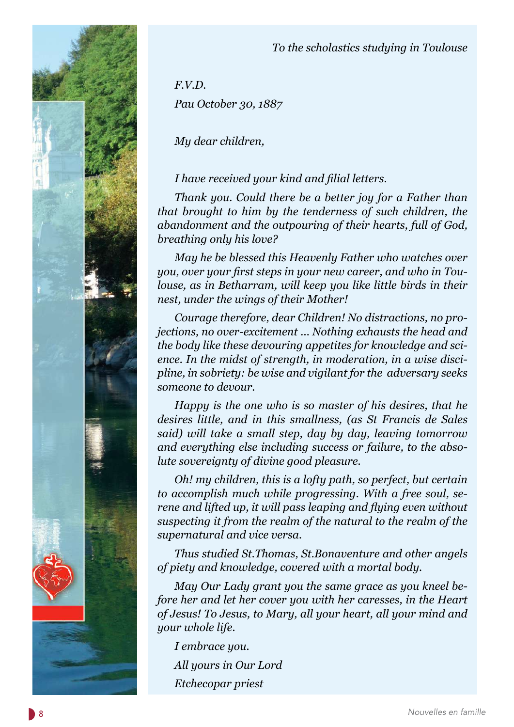



*F.V.D. Pau October 30, 1887*

*My dear children,*

# *I have received your kind and filial letters.*

*Thank you. Could there be a better joy for a Father than that brought to him by the tenderness of such children, the abandonment and the outpouring of their hearts, full of God, breathing only his love?*

*May he be blessed this Heavenly Father who watches over you, over your first steps in your new career, and who in Toulouse, as in Betharram, will keep you like little birds in their nest, under the wings of their Mother!*

*Courage therefore, dear Children! No distractions, no projections, no over-excitement ... Nothing exhausts the head and the body like these devouring appetites for knowledge and science. In the midst of strength, in moderation, in a wise discipline, in sobriety: be wise and vigilant for the adversary seeks someone to devour.*

*Happy is the one who is so master of his desires, that he desires little, and in this smallness, (as St Francis de Sales said) will take a small step, day by day, leaving tomorrow and everything else including success or failure, to the absolute sovereignty of divine good pleasure.*

*Oh! my children, this is a lofty path, so perfect, but certain to accomplish much while progressing. With a free soul, serene and lifted up, it will pass leaping and flying even without suspecting it from the realm of the natural to the realm of the supernatural and vice versa.*

*Thus studied St.Thomas, St.Bonaventure and other angels of piety and knowledge, covered with a mortal body.*

*May Our Lady grant you the same grace as you kneel before her and let her cover you with her caresses, in the Heart of Jesus! To Jesus, to Mary, all your heart, all your mind and your whole life.*

*I embrace you. All yours in Our Lord Etchecopar priest*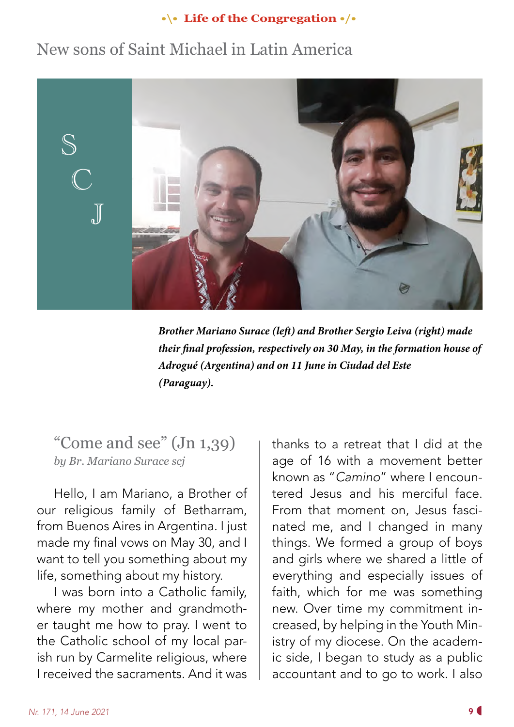## **•\• Life of the Congregation •/•**

# New sons of Saint Michael in Latin America



*Brother Mariano Surace (left) and Brother Sergio Leiva (right) made their final profession, respectively on 30 May, in the formation house of Adrogué (Argentina) and on 11 June in Ciudad del Este (Paraguay).*

"Come and see" (Jn 1,39) *by Br. Mariano Surace scj*

Hello, I am Mariano, a Brother of our religious family of Betharram, from Buenos Aires in Argentina. I just made my final vows on May 30, and I want to tell you something about my life, something about my history.

I was born into a Catholic family, where my mother and grandmother taught me how to pray. I went to the Catholic school of my local parish run by Carmelite religious, where I received the sacraments. And it was thanks to a retreat that I did at the age of 16 with a movement better known as "*Camino*" where I encountered Jesus and his merciful face. From that moment on, Jesus fascinated me, and I changed in many things. We formed a group of boys and girls where we shared a little of everything and especially issues of faith, which for me was something new. Over time my commitment increased, by helping in the Youth Ministry of my diocese. On the academic side, I began to study as a public accountant and to go to work. I also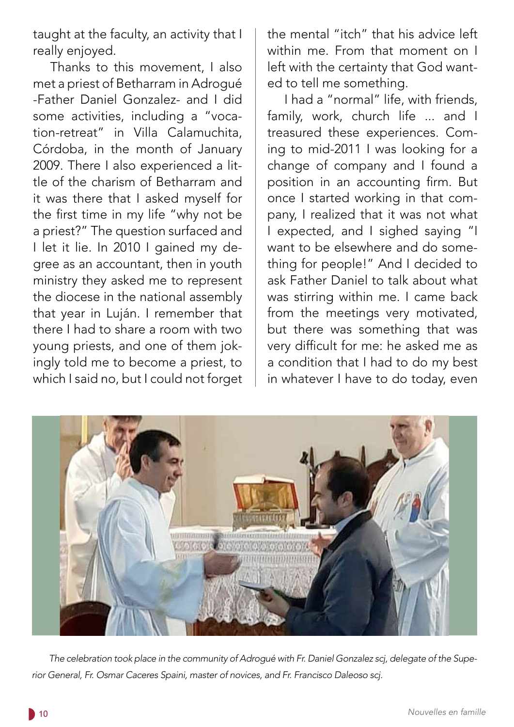taught at the faculty, an activity that I really enjoyed.

Thanks to this movement, I also met a priest of Betharram in Adrogué -Father Daniel Gonzalez- and I did some activities, including a "vocation-retreat" in Villa Calamuchita, Córdoba, in the month of January 2009. There I also experienced a little of the charism of Betharram and it was there that I asked myself for the first time in my life "why not be a priest?" The question surfaced and I let it lie. In 2010 I gained my degree as an accountant, then in youth ministry they asked me to represent the diocese in the national assembly that year in Luján. I remember that there I had to share a room with two young priests, and one of them jokingly told me to become a priest, to which I said no, but I could not forget the mental "itch" that his advice left within me. From that moment on I left with the certainty that God wanted to tell me something.

I had a "normal" life, with friends, family, work, church life ... and I treasured these experiences. Coming to mid-2011 I was looking for a change of company and I found a position in an accounting firm. But once I started working in that company, I realized that it was not what I expected, and I sighed saying "I want to be elsewhere and do something for people!" And I decided to ask Father Daniel to talk about what was stirring within me. I came back from the meetings very motivated, but there was something that was very difficult for me: he asked me as a condition that I had to do my best in whatever I have to do today, even

![](_page_9_Picture_4.jpeg)

*The celebration took place in the community of Adrogué with Fr. Daniel Gonzalez scj, delegate of the Superior General, Fr. Osmar Caceres Spaini, master of novices, and Fr. Francisco Daleoso scj.*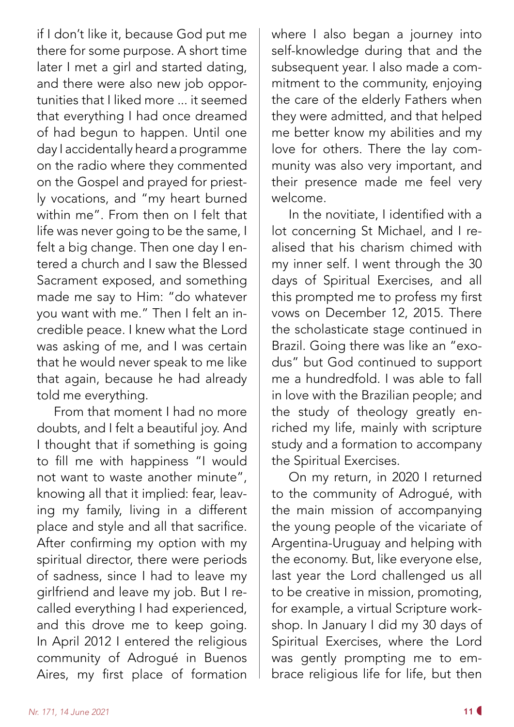if I don't like it, because God put me there for some purpose. A short time later I met a girl and started dating, and there were also new job opportunities that I liked more ... it seemed that everything I had once dreamed of had begun to happen. Until one day I accidentally heard a programme on the radio where they commented on the Gospel and prayed for priestly vocations, and "my heart burned within me". From then on I felt that life was never going to be the same, I felt a big change. Then one day I entered a church and I saw the Blessed Sacrament exposed, and something made me say to Him: "do whatever you want with me." Then I felt an incredible peace. I knew what the Lord was asking of me, and I was certain that he would never speak to me like that again, because he had already told me everything.

From that moment I had no more doubts, and I felt a beautiful joy. And I thought that if something is going to fill me with happiness "I would not want to waste another minute", knowing all that it implied: fear, leaving my family, living in a different place and style and all that sacrifice. After confirming my option with my spiritual director, there were periods of sadness, since I had to leave my girlfriend and leave my job. But I recalled everything I had experienced, and this drove me to keep going. In April 2012 I entered the religious community of Adrogué in Buenos Aires, my first place of formation

where I also began a journey into self-knowledge during that and the subsequent year. I also made a commitment to the community, enjoying the care of the elderly Fathers when they were admitted, and that helped me better know my abilities and my love for others. There the lay community was also very important, and their presence made me feel very welcome.

In the novitiate, I identified with a lot concerning St Michael, and I realised that his charism chimed with my inner self. I went through the 30 days of Spiritual Exercises, and all this prompted me to profess my first vows on December 12, 2015. There the scholasticate stage continued in Brazil. Going there was like an "exodus" but God continued to support me a hundredfold. I was able to fall in love with the Brazilian people; and the study of theology greatly enriched my life, mainly with scripture study and a formation to accompany the Spiritual Exercises.

On my return, in 2020 I returned to the community of Adrogué, with the main mission of accompanying the young people of the vicariate of Argentina-Uruguay and helping with the economy. But, like everyone else, last year the Lord challenged us all to be creative in mission, promoting, for example, a virtual Scripture workshop. In January I did my 30 days of Spiritual Exercises, where the Lord was gently prompting me to embrace religious life for life, but then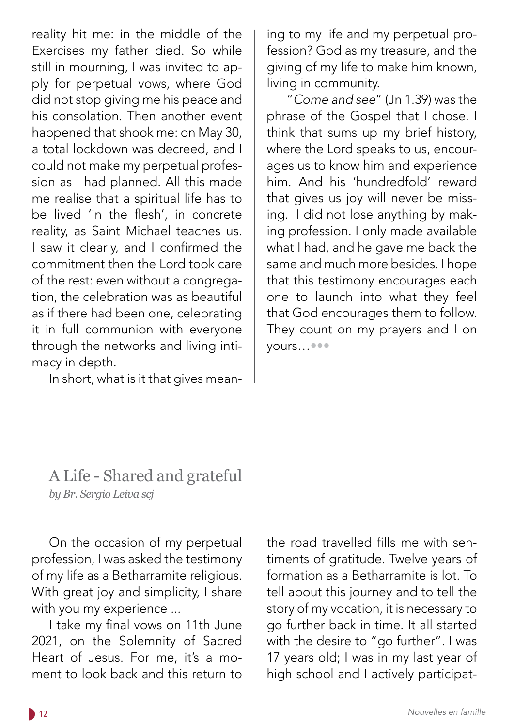reality hit me: in the middle of the Exercises my father died. So while still in mourning, I was invited to apply for perpetual vows, where God did not stop giving me his peace and his consolation. Then another event happened that shook me: on May 30, a total lockdown was decreed, and I could not make my perpetual profession as I had planned. All this made me realise that a spiritual life has to be lived 'in the flesh', in concrete reality, as Saint Michael teaches us. I saw it clearly, and I confirmed the commitment then the Lord took care of the rest: even without a congregation, the celebration was as beautiful as if there had been one, celebrating it in full communion with everyone through the networks and living intimacy in depth.

In short, what is it that gives mean-

ing to my life and my perpetual profession? God as my treasure, and the giving of my life to make him known, living in community.

 "*Come and see*" (Jn 1.39) was the phrase of the Gospel that I chose. I think that sums up my brief history, where the Lord speaks to us, encourages us to know him and experience him. And his 'hundredfold' reward that gives us joy will never be missing. I did not lose anything by making profession. I only made available what I had, and he gave me back the same and much more besides. I hope that this testimony encourages each one to launch into what they feel that God encourages them to follow. They count on my prayers and I on yours…•••

# A Life - Shared and grateful *by Br. Sergio Leiva scj*

On the occasion of my perpetual profession, I was asked the testimony of my life as a Betharramite religious. With great joy and simplicity, I share with you my experience ...

I take my final vows on 11th June 2021, on the Solemnity of Sacred Heart of Jesus. For me, it's a moment to look back and this return to the road travelled fills me with sentiments of gratitude. Twelve years of formation as a Betharramite is lot. To tell about this journey and to tell the story of my vocation, it is necessary to go further back in time. It all started with the desire to "go further". I was 17 years old; I was in my last year of high school and I actively participat-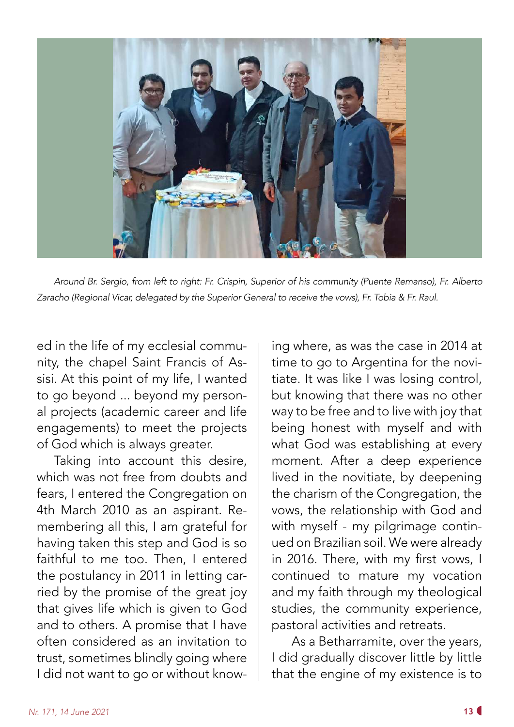![](_page_12_Picture_0.jpeg)

*Around Br. Sergio, from left to right: Fr. Crispin, Superior of his community (Puente Remanso), Fr. Alberto Zaracho (Regional Vicar, delegated by the Superior General to receive the vows), Fr. Tobia & Fr. Raul.* 

ed in the life of my ecclesial community, the chapel Saint Francis of Assisi. At this point of my life, I wanted to go beyond ... beyond my personal projects (academic career and life engagements) to meet the projects of God which is always greater.

Taking into account this desire, which was not free from doubts and fears, I entered the Congregation on 4th March 2010 as an aspirant. Remembering all this, I am grateful for having taken this step and God is so faithful to me too. Then, I entered the postulancy in 2011 in letting carried by the promise of the great joy that gives life which is given to God and to others. A promise that I have often considered as an invitation to trust, sometimes blindly going where I did not want to go or without knowing where, as was the case in 2014 at time to go to Argentina for the novitiate. It was like I was losing control, but knowing that there was no other way to be free and to live with joy that being honest with myself and with what God was establishing at every moment. After a deep experience lived in the novitiate, by deepening the charism of the Congregation, the vows, the relationship with God and with myself - my pilgrimage continued on Brazilian soil. We were already in 2016. There, with my first vows, I continued to mature my vocation and my faith through my theological studies, the community experience, pastoral activities and retreats.

 As a Betharramite, over the years, I did gradually discover little by little that the engine of my existence is to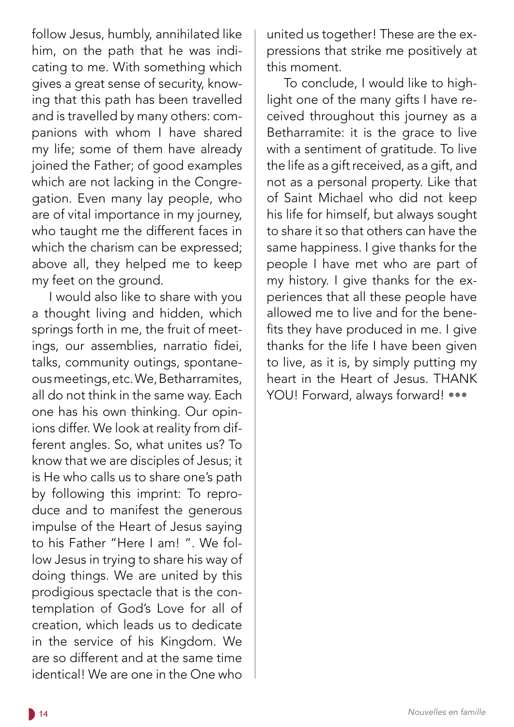follow Jesus, humbly, annihilated like him, on the path that he was indicating to me. With something which gives a great sense of security, knowing that this path has been travelled and is travelled by many others: companions with whom I have shared my life; some of them have already joined the Father; of good examples which are not lacking in the Congregation. Even many lay people, who are of vital importance in my journey, who taught me the different faces in which the charism can be expressed; above all, they helped me to keep my feet on the ground.

I would also like to share with you a thought living and hidden, which springs forth in me, the fruit of meetings, our assemblies, narratio fidei, talks, community outings, spontaneous meetings, etc. We, Betharramites, all do not think in the same way. Each one has his own thinking. Our opinions differ. We look at reality from different angles. So, what unites us? To know that we are disciples of Jesus; it is He who calls us to share one's path by following this imprint: To reproduce and to manifest the generous impulse of the Heart of Jesus saying to his Father "Here I am! ". We follow Jesus in trying to share his way of doing things. We are united by this prodigious spectacle that is the contemplation of God's Love for all of creation, which leads us to dedicate in the service of his Kingdom. We are so different and at the same time identical! We are one in the One who

united us together! These are the expressions that strike me positively at this moment.

To conclude, I would like to highlight one of the many gifts I have received throughout this journey as a Betharramite: it is the grace to live with a sentiment of gratitude. To live the life as a gift received, as a gift, and not as a personal property. Like that of Saint Michael who did not keep his life for himself, but always sought to share it so that others can have the same happiness. I give thanks for the people I have met who are part of my history. I give thanks for the experiences that all these people have allowed me to live and for the benefits they have produced in me. I give thanks for the life I have been given to live, as it is, by simply putting my heart in the Heart of Jesus. THANK YOU! Forward, always forward! •••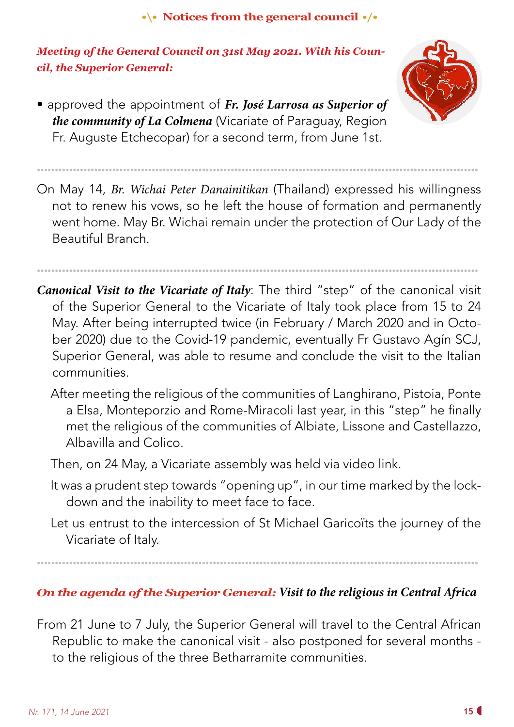## **•\• Notices from the general council •/•**

*Meeting of the General Council on 31st May 2021. With his Council, the Superior General:*

• approved the appointment of *Fr. José Larrosa as Superior of the community of La Colmena* (Vicariate of Paraguay, Region Fr. Auguste Etchecopar) for a second term, from June 1st.

![](_page_14_Picture_3.jpeg)

On May 14, *Br. Wichai Peter Danainitikan* (Thailand) expressed his willingness not to renew his vows, so he left the house of formation and permanently went home. May Br. Wichai remain under the protection of Our Lady of the Beautiful Branch.

*•••••••••••••••••••••••••••••••••••••••••••••••••••••••••••••••••••••••••••••••••••••••••••••••••••••••••••••••••••••••••••*

*•••••••••••••••••••••••••••••••••••••••••••••••••••••••••••••••••••••••••••••••••••••••••••••••••••••••••••••••••••••••••••*

*Canonical Visit to the Vicariate of Italy*: The third "step" of the canonical visit of the Superior General to the Vicariate of Italy took place from 15 to 24 May. After being interrupted twice (in February / March 2020 and in October 2020) due to the Covid-19 pandemic, eventually Fr Gustavo Agín SCJ, Superior General, was able to resume and conclude the visit to the Italian communities.

- After meeting the religious of the communities of Langhirano, Pistoia, Ponte a Elsa, Monteporzio and Rome-Miracoli last year, in this "step" he finally met the religious of the communities of Albiate, Lissone and Castellazzo, Albavilla and Colico.
- Then, on 24 May, a Vicariate assembly was held via video link.
- It was a prudent step towards "opening up", in our time marked by the lockdown and the inability to meet face to face.
- Let us entrust to the intercession of St Michael Garicoïts the journey of the Vicariate of Italy.

### *•••••••••••••••••••••••••••••••••••••••••••••••••••••••••••••••••••••••••••••••••••••••••••••••••••••••••••••••••••••••••••*

## *On the agenda of the Superior General: Visit to the religious in Central Africa*

From 21 June to 7 July, the Superior General will travel to the Central African Republic to make the canonical visit - also postponed for several months to the religious of the three Betharramite communities.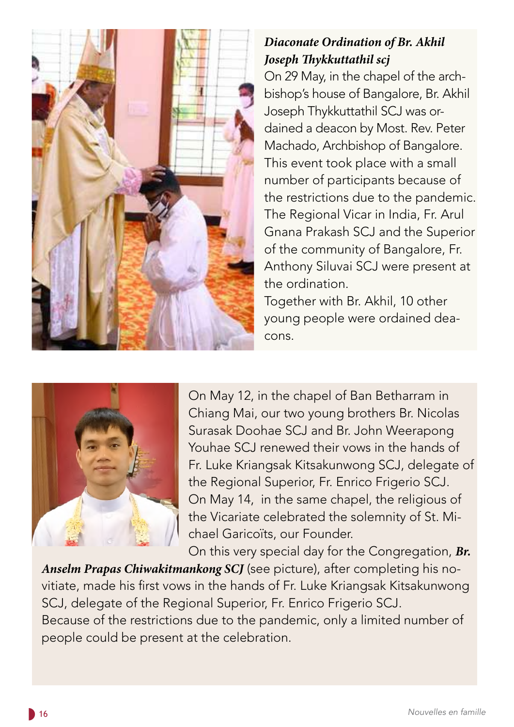![](_page_15_Picture_0.jpeg)

# *Diaconate Ordination of Br. Akhil Joseph Thykkuttathil scj*

On 29 May, in the chapel of the archbishop's house of Bangalore, Br. Akhil Joseph Thykkuttathil SCJ was ordained a deacon by Most. Rev. Peter Machado, Archbishop of Bangalore. This event took place with a small number of participants because of the restrictions due to the pandemic. The Regional Vicar in India, Fr. Arul Gnana Prakash SCJ and the Superior of the community of Bangalore, Fr. Anthony Siluvai SCJ were present at the ordination.

Together with Br. Akhil, 10 other young people were ordained deacons.

![](_page_15_Picture_4.jpeg)

On May 12, in the chapel of Ban Betharram in Chiang Mai, our two young brothers Br. Nicolas Surasak Doohae SCJ and Br. John Weerapong Youhae SCJ renewed their vows in the hands of Fr. Luke Kriangsak Kitsakunwong SCJ, delegate of the Regional Superior, Fr. Enrico Frigerio SCJ. On May 14, in the same chapel, the religious of the Vicariate celebrated the solemnity of St. Michael Garicoïts, our Founder.

On this very special day for the Congregation, *Br.* 

*Anselm Prapas Chiwakitmankong SCJ* (see picture), after completing his novitiate, made his first vows in the hands of Fr. Luke Kriangsak Kitsakunwong SCJ, delegate of the Regional Superior, Fr. Enrico Frigerio SCJ. Because of the restrictions due to the pandemic, only a limited number of people could be present at the celebration.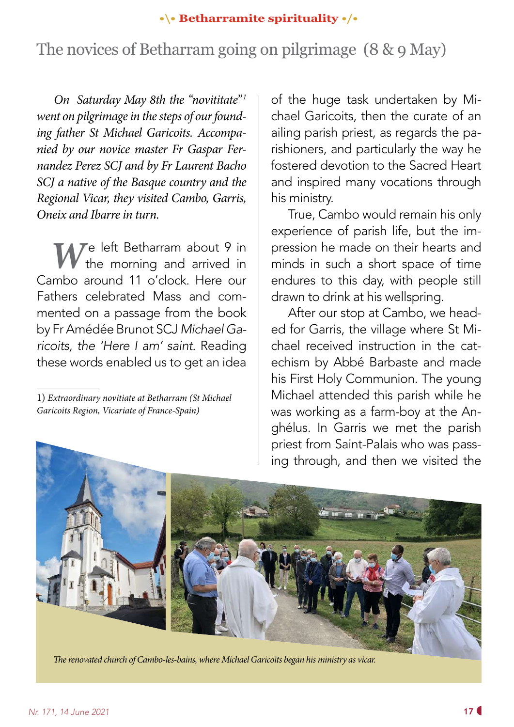### **•\• Betharramite spirituality •/•**

# The novices of Betharram going on pilgrimage (8 & 9 May)

*On Saturday May 8th the "novititate"*<sup>1</sup> *went on pilgrimage in the steps of our founding father St Michael Garicoits. Accompanied by our novice master Fr Gaspar Fernandez Perez SCJ and by Fr Laurent Bacho SCJ a native of the Basque country and the Regional Vicar, they visited Cambo, Garris, Oneix and Ibarre in turn.*

*W* e left Betharram about 9 in<br>the morning and arrived in the morning and arrived in Cambo around 11 o'clock. Here our Fathers celebrated Mass and commented on a passage from the book by Fr Amédée Brunot SCJ *Michael Garicoits, the 'Here I am' saint*. Reading these words enabled us to get an idea

of the huge task undertaken by Michael Garicoits, then the curate of an ailing parish priest, as regards the parishioners, and particularly the way he fostered devotion to the Sacred Heart and inspired many vocations through his ministry.

True, Cambo would remain his only experience of parish life, but the impression he made on their hearts and minds in such a short space of time endures to this day, with people still drawn to drink at his wellspring.

After our stop at Cambo, we headed for Garris, the village where St Michael received instruction in the catechism by Abbé Barbaste and made his First Holy Communion. The young Michael attended this parish while he was working as a farm-boy at the Anghélus. In Garris we met the parish priest from Saint-Palais who was passing through, and then we visited the

![](_page_16_Picture_8.jpeg)

*The renovated church of Cambo-les-bains, where Michael Garicoïts began his ministry as vicar.*

<sup>1)</sup> *Extraordinary novitiate at Betharram (St Michael Garicoits Region, Vicariate of France-Spain)*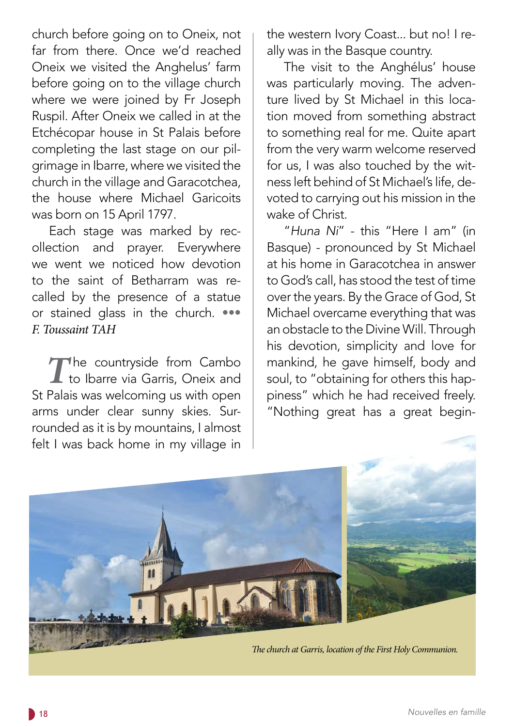church before going on to Oneix, not far from there. Once we'd reached Oneix we visited the Anghelus' farm before going on to the village church where we were joined by Fr Joseph Ruspil. After Oneix we called in at the Etchécopar house in St Palais before completing the last stage on our pilgrimage in Ibarre, where we visited the church in the village and Garacotchea, the house where Michael Garicoits was born on 15 April 1797.

Each stage was marked by recollection and prayer. Everywhere we went we noticed how devotion to the saint of Betharram was recalled by the presence of a statue or stained glass in the church. ••• *F. Toussaint TAH*

The countryside from Cambo<br>to Ibarre via Garris, Oneix and to Ibarre via Garris, Oneix and St Palais was welcoming us with open arms under clear sunny skies. Surrounded as it is by mountains, I almost felt I was back home in my village in

the western Ivory Coast... but no! I really was in the Basque country.

The visit to the Anghélus' house was particularly moving. The adventure lived by St Michael in this location moved from something abstract to something real for me. Quite apart from the very warm welcome reserved for us, I was also touched by the witness left behind of St Michael's life, devoted to carrying out his mission in the wake of Christ.

"*Huna Ni*" - this "Here I am" (in Basque) - pronounced by St Michael at his home in Garacotchea in answer to God's call, has stood the test of time over the years. By the Grace of God, St Michael overcame everything that was an obstacle to the Divine Will. Through his devotion, simplicity and love for mankind, he gave himself, body and soul, to "obtaining for others this happiness" which he had received freely. "Nothing great has a great begin-

![](_page_17_Picture_6.jpeg)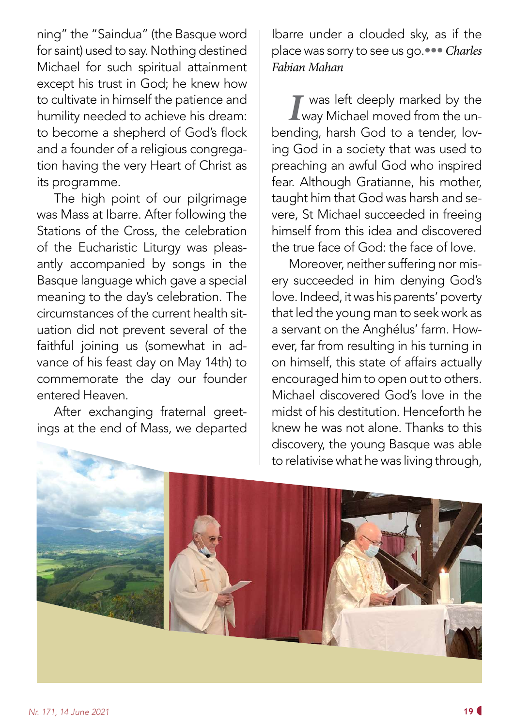ning" the "Saindua" (the Basque word for saint) used to say. Nothing destined Michael for such spiritual attainment except his trust in God; he knew how to cultivate in himself the patience and humility needed to achieve his dream: to become a shepherd of God's flock and a founder of a religious congregation having the very Heart of Christ as its programme.

The high point of our pilgrimage was Mass at Ibarre. After following the Stations of the Cross, the celebration of the Eucharistic Liturgy was pleasantly accompanied by songs in the Basque language which gave a special meaning to the day's celebration. The circumstances of the current health situation did not prevent several of the faithful joining us (somewhat in advance of his feast day on May 14th) to commemorate the day our founder entered Heaven.

After exchanging fraternal greetings at the end of Mass, we departed Ibarre under a clouded sky, as if the place was sorry to see us go.••• *Charles Fabian Mahan*

*I* was left deeply marked by the way Michael moved from the unbending, harsh God to a tender, loving God in a society that was used to preaching an awful God who inspired fear. Although Gratianne, his mother, taught him that God was harsh and severe, St Michael succeeded in freeing himself from this idea and discovered the true face of God: the face of love.

Moreover, neither suffering nor misery succeeded in him denying God's love. Indeed, it was his parents' poverty that led the young man to seek work as a servant on the Anghélus' farm. However, far from resulting in his turning in on himself, this state of affairs actually encouraged him to open out to others. Michael discovered God's love in the midst of his destitution. Henceforth he knew he was not alone. Thanks to this discovery, the young Basque was able to relativise what he was living through,

![](_page_18_Picture_6.jpeg)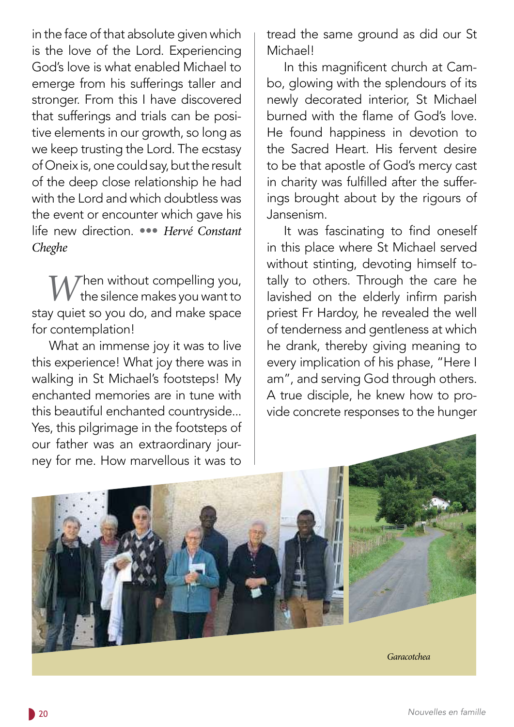in the face of that absolute given which is the love of the Lord. Experiencing God's love is what enabled Michael to emerge from his sufferings taller and stronger. From this I have discovered that sufferings and trials can be positive elements in our growth, so long as we keep trusting the Lord. The ecstasy of Oneix is, one could say, but the result of the deep close relationship he had with the Lord and which doubtless was the event or encounter which gave his life new direction. ••• *Hervé Constant Cheghe*

**M** *T*hen without compelling you, the silence makes you want to stay quiet so you do, and make space for contemplation!

What an immense joy it was to live this experience! What joy there was in walking in St Michael's footsteps! My enchanted memories are in tune with this beautiful enchanted countryside... Yes, this pilgrimage in the footsteps of our father was an extraordinary journey for me. How marvellous it was to

tread the same ground as did our St Michael!

In this magnificent church at Cambo, glowing with the splendours of its newly decorated interior, St Michael burned with the flame of God's love. He found happiness in devotion to the Sacred Heart. His fervent desire to be that apostle of God's mercy cast in charity was fulfilled after the sufferings brought about by the rigours of Jansenism.

It was fascinating to find oneself in this place where St Michael served without stinting, devoting himself totally to others. Through the care he lavished on the elderly infirm parish priest Fr Hardoy, he revealed the well of tenderness and gentleness at which he drank, thereby giving meaning to every implication of his phase, "Here I am", and serving God through others. A true disciple, he knew how to provide concrete responses to the hunger

![](_page_19_Picture_6.jpeg)

 *Garacotchea*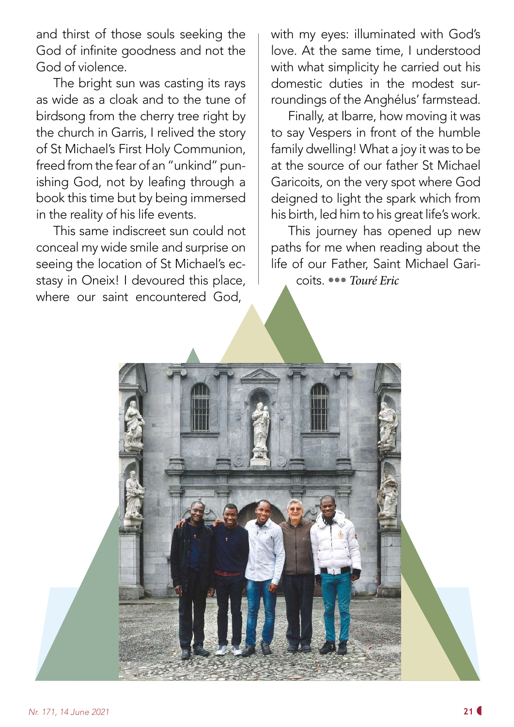and thirst of those souls seeking the God of infinite goodness and not the God of violence.

The bright sun was casting its rays as wide as a cloak and to the tune of birdsong from the cherry tree right by the church in Garris, I relived the story of St Michael's First Holy Communion, freed from the fear of an "unkind" punishing God, not by leafing through a book this time but by being immersed in the reality of his life events.

This same indiscreet sun could not conceal my wide smile and surprise on seeing the location of St Michael's ecstasy in Oneix! I devoured this place, where our saint encountered God,

with my eyes: illuminated with God's love. At the same time, I understood with what simplicity he carried out his domestic duties in the modest surroundings of the Anghélus' farmstead.

Finally, at Ibarre, how moving it was to say Vespers in front of the humble family dwelling! What a joy it was to be at the source of our father St Michael Garicoits, on the very spot where God deigned to light the spark which from his birth, led him to his great life's work.

This journey has opened up new paths for me when reading about the life of our Father, Saint Michael Garicoits. ••• *Touré Eric*

![](_page_20_Picture_6.jpeg)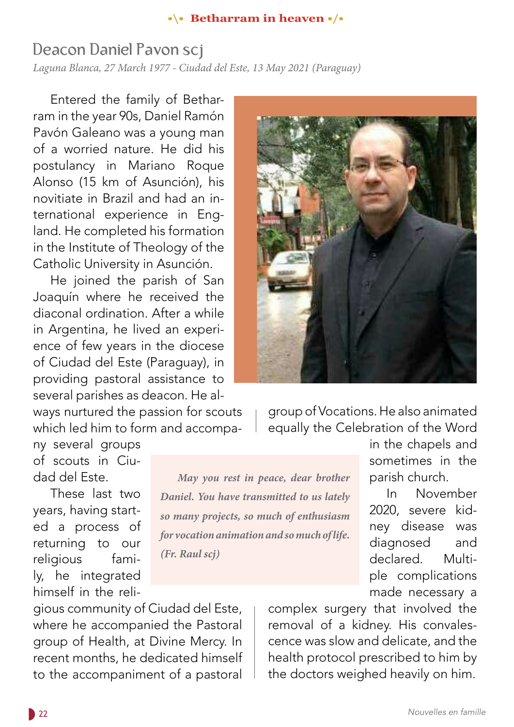#### **•\• Betharram in heaven •/•**

*May you rest in peace, dear brother* 

*Daniel. You have transmitted to us lately* 

*so many projects, so much of enthusiasm* 

*for vocation animation and so much of life.* 

*(Fr. Raul scj)*

# Deacon Daniel Pavon scj

*Laguna Blanca, 27 March 1977 - Ciudad del Este, 13 May 2021 (Paraguay)* 

Entered the family of Betharram in the year 90s, Daniel Ramón Pavón Galeano was a young man of a worried nature. He did his postulancy in Mariano Roque Alonso (15 km of Asunción), his novitiate in Brazil and had an international experience in England. He completed his formation in the Institute of Theology of the Catholic University in Asunción.

He joined the parish of San Joaquín where he received the diaconal ordination. After a while in Argentina, he lived an experience of few years in the diocese of Ciudad del Este (Paraguay), in providing pastoral assistance to several parishes as deacon. He al-

ways nurtured the passion for scouts which led him to form and accompa-

ny several groups of scouts in Ciudad del Este.

These last two years, having started a process of returning to our religious family, he integrated himself in the reli-

gious community of Ciudad del Este, where he accompanied the Pastoral group of Health, at Divine Mercy. In recent months, he dedicated himself to the accompaniment of a pastoral

![](_page_21_Picture_9.jpeg)

group of Vocations. He also animated equally the Celebration of the Word

> in the chapels and sometimes in the parish church.

In November 2020, severe kidney disease was diagnosed and declared. Multiple complications made necessary a

complex surgery that involved the removal of a kidney. His convalescence was slow and delicate, and the health protocol prescribed to him by the doctors weighed heavily on him.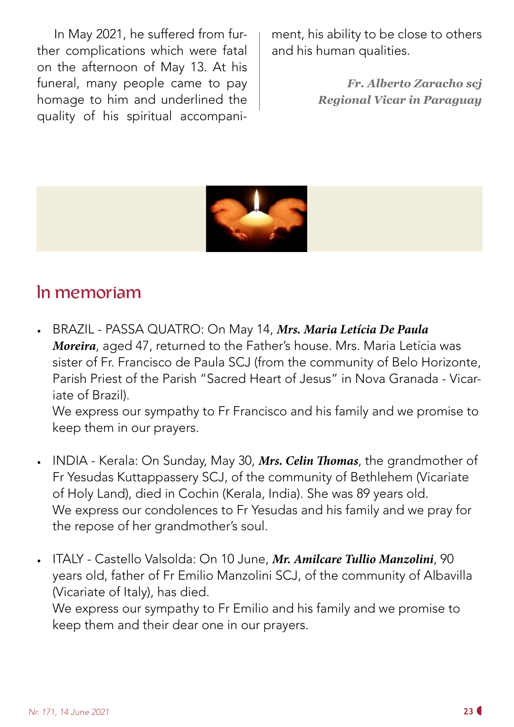In May 2021, he suffered from further complications which were fatal on the afternoon of May 13. At his funeral, many people came to pay homage to him and underlined the quality of his spiritual accompaniment, his ability to be close to others and his human qualities.

> *Fr. Alberto Zaracho scj Regional Vicar in Paraguay*

![](_page_22_Picture_3.jpeg)

# In memoriam

• BRAZIL - PASSA QUATRO: On May 14, *Mrs. Maria Letícia De Paula Moreira*, aged 47, returned to the Father's house. Mrs. Maria Letícia was sister of Fr. Francisco de Paula SCJ (from the community of Belo Horizonte, Parish Priest of the Parish "Sacred Heart of Jesus" in Nova Granada - Vicariate of Brazil).

We express our sympathy to Fr Francisco and his family and we promise to keep them in our prayers.

- INDIA Kerala: On Sunday, May 30, *Mrs. Celin Thomas*, the grandmother of Fr Yesudas Kuttappassery SCJ, of the community of Bethlehem (Vicariate of Holy Land), died in Cochin (Kerala, India). She was 89 years old. We express our condolences to Fr Yesudas and his family and we pray for the repose of her grandmother's soul.
- ITALY Castello Valsolda: On 10 June, *Mr. Amilcare Tullio Manzolini*, 90 years old, father of Fr Emilio Manzolini SCJ, of the community of Albavilla (Vicariate of Italy), has died. We express our sympathy to Fr Emilio and his family and we promise to keep them and their dear one in our prayers.